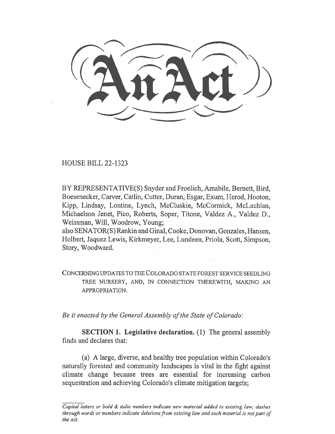HOUSE BILL 22-1323

BY REPRESENTATIVE(S) Snyder and Froelich, Amabile, Bernett, Bird, Boesenecker, Carver, Catlin, Cutter, Duran, Esgar, Exum, Herod, Hooton, Kipp, Lindsay, Lontine, Lynch, McCluskie, McCormick, McLachlan, Michaelson Jenet, Pico, Roberts, Soper, Titone, Valdez A., Valdez D., Weissman, Will, Woodrow, Young;

also SENATOR(S) Rankin and Ginal, Cooke, Donovan, Gonzales, Hansen, Holbert, Jaquez Lewis, Kirkmeyer, Lee, Lundeen, Priola, Scott, Simpson, Story, Woodward.

CONCERNING UPDATES TO THE COLORADO STATE FOREST SERVICE SEEDLING TREE NURSERY, AND, IN CONNECTION THEREWITH, MAKING AN APPROPRIATION.

Be it enacted by the General Assembly of the State of Colorado:

SECTION 1. Legislative declaration. (1) The general assembly finds and declares that:

(a) A large, diverse, and healthy tree population within Colorado's naturally forested and community landscapes is vital in the fight against climate change because trees are essential for increasing carbon sequestration and achieving Colorado's climate mitigation targets;

Capital letters or bold & italic numbers indicate new material added to existing law; dashes through words or numbers indicate deletions from existing law and such material is not part of the act.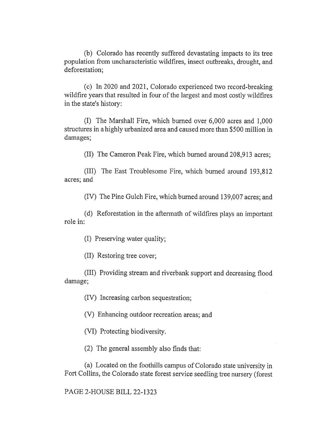(b) Colorado has recently suffered devastating impacts to its tree population from uncharacteristic wildfires, insect outbreaks, drought, and deforestation;

(c) In 2020 and 2021, Colorado experienced two record-breaking wildfire years that resulted in four of the largest and most costly wildfires in the state's history:

(I) The Marshall Fire, which burned over 6,000 acres and 1,000 structures in a highly urbanized area and caused more than \$500 million in damages;

(II) The Cameron Peak Fire, which burned around 208,913 acres;

(III) The East Troublesome Fire, which burned around 193,812 acres; and

(IV) The Pine Gulch Fire, which burned around 139,007 acres; and

(d) Reforestation in the aftermath of wildfires plays an important role in:

(I) Preserving water quality;

(II) Restoring tree cover;

(III) Providing stream and riverbank support and decreasing flood damage;

(IV) Increasing carbon sequestration;

(V) Enhancing outdoor recreation areas; and

(VI) Protecting biodiversity.

(2) The general assembly also finds that:

(a) Located on the foothills campus of Colorado state university in Fort Collins, the Colorado state forest service seedling tree nursery (forest

## PAGE 2-HOUSE BILL 22-1323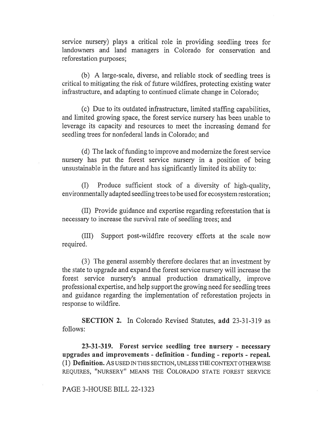service nursery) plays a critical role in providing seedling trees for landowners and land managers in Colorado for conservation and reforestation purposes;

(b) A large-scale, diverse, and reliable stock of seedling trees is critical to mitigating the risk of future wildfires, protecting existing water infrastructure, and adapting to continued climate change in Colorado;

(c) Due to its outdated infrastructure, limited staffing capabilities, and limited growing space, the forest service nursery has been unable to leverage its capacity and resources to meet the increasing demand for seedling trees for nonfederal lands in Colorado; and

(d) The lack of funding to improve and modernize the forest service nursery has put the forest service nursery in a position of being unsustainable in the future and has significantly limited its ability to:

(I) Produce sufficient stock of a diversity of high-quality, environmentally adapted seedling trees to be used for ecosystem restoration;

(II) Provide guidance and expertise regarding reforestation that is necessary to increase the survival rate of seedling trees; and

(III) Support post-wildfire recovery efforts at the scale now required.

(3) The general assembly therefore declares that an investment by the state to upgrade and expand the forest service nursery will increase the forest service nursery's annual production dramatically, improve professional expertise, and help support the growing need for seedling trees and guidance regarding the implementation of reforestation projects in response to wildfire.

SECTION 2. In Colorado Revised Statutes, add 23-31-319 as follows:

23-31-319. Forest service seedling tree nursery - necessary upgrades and improvements - definition - funding - reports - repeal. (1) Definition. AS USED IN THIS SECTION, UNLESS THE CONTEXT OTHERWISE REQUIRES, "NURSERY" MEANS THE COLORADO STATE FOREST SERVICE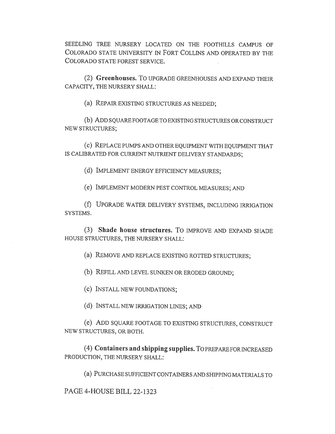SEEDLING TREE NURSERY LOCATED ON THE FOOTHILLS CAMPUS OF COLORADO STATE UNIVERSITY IN FORT COLLINS AND OPERATED BY THE COLORADO STATE FOREST SERVICE.

(2) Greenhouses. To UPGRADE GREENHOUSES AND EXPAND THEIR CAPACITY, THE NURSERY SHALL:

(a) REPAIR EXISTING STRUCTURES AS NEEDED;

(b) ADD SQUARE FOOTAGE TO EXISTING STRUCTURES OR CONSTRUCT NEW STRUCTURES;

(c) REPLACE PUMPS AND OTHER EQUIPMENT WITH EQUIPMENT THAT IS CALIBRATED FOR CURRENT NUTRIENT DELIVERY STANDARDS;

(d) IMPLEMENT ENERGY EFFICIENCY MEASURES;

(e) IMPLEMENT MODERN PEST CONTROL MEASURES; AND

(f) UPGRADE WATER DELIVERY SYSTEMS, INCLUDING IRRIGATION SYSTEMS.

(3) Shade house structures. To IMPROVE AND EXPAND SHADE HOUSE STRUCTURES, THE NURSERY SHALL:

(a) REMOVE AND REPLACE EXISTING ROTTED STRUCTURES;

(b) REFILL AND LEVEL SUNKEN OR ERODED GROUND;

(c) INSTALL NEW FOUNDATIONS;

(d) INSTALL NEW IRRIGATION LINES; AND

(e) ADD SQUARE FOOTAGE TO EXISTING STRUCTURES, CONSTRUCT NEW STRUCTURES, OR BOTH.

(4) Containers and shipping supplies. TO PREPARE FOR INCREASED PRODUCTION, THE NURSERY SHALL:

(a) PURCHASE SUFFICIENT CONTAINERS AND SHIPPING MATERIALS TO

PAGE 4-HOUSE BILL 22-1323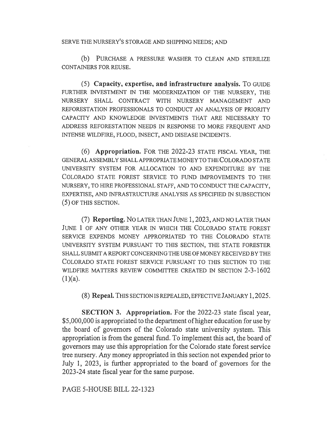## SERVE THE NURSERY'S STORAGE AND SHIPPING NEEDS; AND

(b) PURCHASE A PRESSURE WASHER TO CLEAN AND STERILIZE CONTAINERS FOR REUSE.

(5) Capacity, expertise, and infrastructure analysis. To GUIDE FURTHER INVESTMENT IN THE MODERNIZATION OF THE NURSERY, THE NURSERY SHALL CONTRACT WITH NURSERY MANAGEMENT AND REFORESTATION PROFESSIONALS TO CONDUCT AN ANALYSIS OF PRIORITY CAPACITY AND KNOWLEDGE INVESTMENTS THAT ARE NECESSARY TO ADDRESS REFORESTATION NEEDS IN RESPONSE TO MORE FREQUENT AND INTENSE WILDFIRE, FLOOD, INSECT, AND DISEASE INCIDENTS.

(6) Appropriation. FOR THE 2022-23 STATE FISCAL YEAR, THE GENERAL ASSEMBLY SHALL APPROPRIATE MONEY TO THE COLORADO STATE UNIVERSITY SYSTEM FOR ALLOCATION TO AND EXPENDITURE BY THE COLORADO STATE FOREST SERVICE TO FUND IMPROVEMENTS TO THE NURSERY, TO HIRE PROFESSIONAL STAFF, AND TO CONDUCT THE CAPACITY, EXPERTISE, AND INFRASTRUCTURE ANALYSIS AS SPECIFIED IN SUBSECTION (5) OF THIS SECTION.

(7) Reporting. No LATER THAN JUNE 1, 2023, AND NO LATER THAN JUNE 1 OF ANY OTHER YEAR IN WHICH THE COLORADO STATE FOREST SERVICE EXPENDS MONEY APPROPRIATED TO THE COLORADO STATE UNIVERSITY SYSTEM PURSUANT TO THIS SECTION, THE STATE FORESTER SHALL SUBMIT A REPORT CONCERNING THE USE OF MONEY RECEIVED BY THE COLORADO STATE FOREST SERVICE PURSUANT TO THIS SECTION TO THE WILDFIRE MATTERS REVIEW COMMITTEE CREATED IN SECTION 2-3-1602  $(1)(a)$ .

(8) Repeal. THIS SECTION IS REPEALED, EFFECTIVE JANUARY 1, 2025.

SECTION 3. Appropriation. For the 2022-23 state fiscal year, \$5,000,000 is appropriated to the department of higher education for use by the board of governors of the Colorado state university system. This appropriation is from the general fund. To implement this act, the board of governors may use this appropriation for the Colorado state forest service tree nursery. Any money appropriated in this section not expended prior to July 1, 2023, is further appropriated to the board of governors for the 2023-24 state fiscal year for the same purpose.

PAGE 5-HOUSE BILL 22-1323